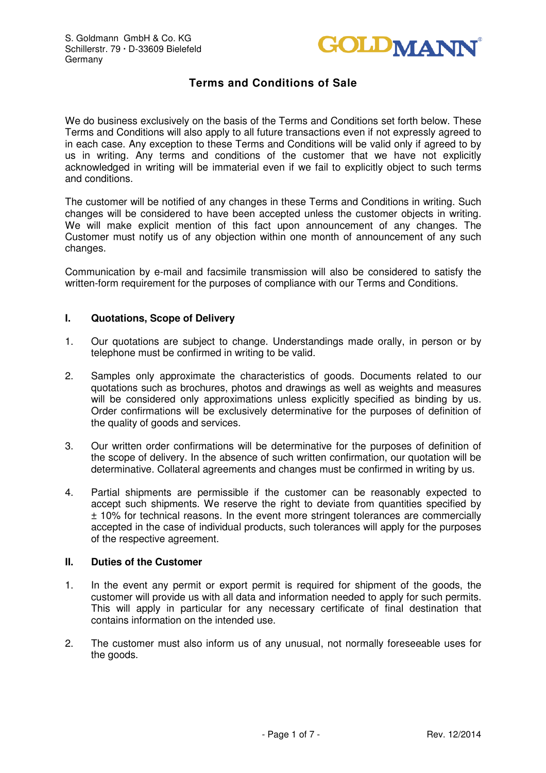

We do business exclusively on the basis of the Terms and Conditions set forth below. These Terms and Conditions will also apply to all future transactions even if not expressly agreed to in each case. Any exception to these Terms and Conditions will be valid only if agreed to by us in writing. Any terms and conditions of the customer that we have not explicitly acknowledged in writing will be immaterial even if we fail to explicitly object to such terms and conditions.

The customer will be notified of any changes in these Terms and Conditions in writing. Such changes will be considered to have been accepted unless the customer objects in writing. We will make explicit mention of this fact upon announcement of any changes. The Customer must notify us of any objection within one month of announcement of any such changes.

Communication by e-mail and facsimile transmission will also be considered to satisfy the written-form requirement for the purposes of compliance with our Terms and Conditions.

### **I. Quotations, Scope of Delivery**

- 1. Our quotations are subject to change. Understandings made orally, in person or by telephone must be confirmed in writing to be valid.
- 2. Samples only approximate the characteristics of goods. Documents related to our quotations such as brochures, photos and drawings as well as weights and measures will be considered only approximations unless explicitly specified as binding by us. Order confirmations will be exclusively determinative for the purposes of definition of the quality of goods and services.
- 3. Our written order confirmations will be determinative for the purposes of definition of the scope of delivery. In the absence of such written confirmation, our quotation will be determinative. Collateral agreements and changes must be confirmed in writing by us.
- 4. Partial shipments are permissible if the customer can be reasonably expected to accept such shipments. We reserve the right to deviate from quantities specified by ± 10% for technical reasons. In the event more stringent tolerances are commercially accepted in the case of individual products, such tolerances will apply for the purposes of the respective agreement.

### **II. Duties of the Customer**

- 1. In the event any permit or export permit is required for shipment of the goods, the customer will provide us with all data and information needed to apply for such permits. This will apply in particular for any necessary certificate of final destination that contains information on the intended use.
- 2. The customer must also inform us of any unusual, not normally foreseeable uses for the goods.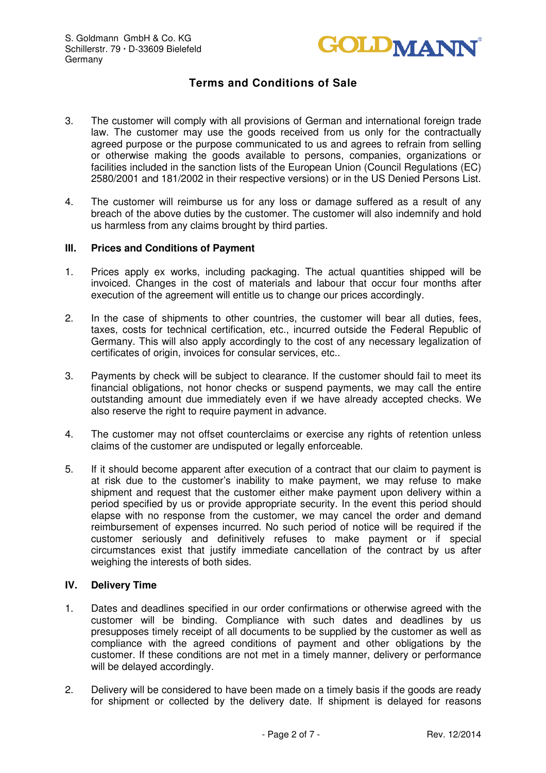

- 3. The customer will comply with all provisions of German and international foreign trade law. The customer may use the goods received from us only for the contractually agreed purpose or the purpose communicated to us and agrees to refrain from selling or otherwise making the goods available to persons, companies, organizations or facilities included in the sanction lists of the European Union (Council Regulations (EC) 2580/2001 and 181/2002 in their respective versions) or in the US Denied Persons List.
- 4. The customer will reimburse us for any loss or damage suffered as a result of any breach of the above duties by the customer. The customer will also indemnify and hold us harmless from any claims brought by third parties.

### **III. Prices and Conditions of Payment**

- 1. Prices apply ex works, including packaging. The actual quantities shipped will be invoiced. Changes in the cost of materials and labour that occur four months after execution of the agreement will entitle us to change our prices accordingly.
- 2. In the case of shipments to other countries, the customer will bear all duties, fees, taxes, costs for technical certification, etc., incurred outside the Federal Republic of Germany. This will also apply accordingly to the cost of any necessary legalization of certificates of origin, invoices for consular services, etc..
- 3. Payments by check will be subject to clearance. If the customer should fail to meet its financial obligations, not honor checks or suspend payments, we may call the entire outstanding amount due immediately even if we have already accepted checks. We also reserve the right to require payment in advance.
- 4. The customer may not offset counterclaims or exercise any rights of retention unless claims of the customer are undisputed or legally enforceable.
- 5. If it should become apparent after execution of a contract that our claim to payment is at risk due to the customer's inability to make payment, we may refuse to make shipment and request that the customer either make payment upon delivery within a period specified by us or provide appropriate security. In the event this period should elapse with no response from the customer, we may cancel the order and demand reimbursement of expenses incurred. No such period of notice will be required if the customer seriously and definitively refuses to make payment or if special circumstances exist that justify immediate cancellation of the contract by us after weighing the interests of both sides.

### **IV. Delivery Time**

- 1. Dates and deadlines specified in our order confirmations or otherwise agreed with the customer will be binding. Compliance with such dates and deadlines by us presupposes timely receipt of all documents to be supplied by the customer as well as compliance with the agreed conditions of payment and other obligations by the customer. If these conditions are not met in a timely manner, delivery or performance will be delayed accordingly.
- 2. Delivery will be considered to have been made on a timely basis if the goods are ready for shipment or collected by the delivery date. If shipment is delayed for reasons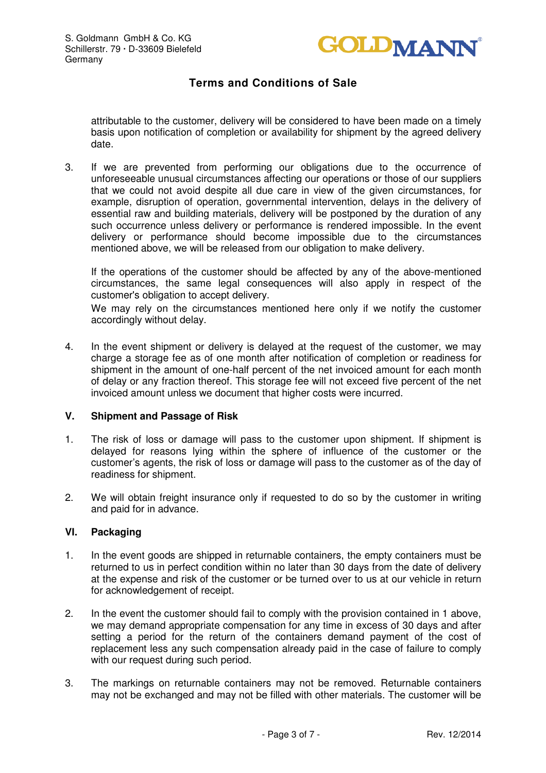

attributable to the customer, delivery will be considered to have been made on a timely basis upon notification of completion or availability for shipment by the agreed delivery date.

3. If we are prevented from performing our obligations due to the occurrence of unforeseeable unusual circumstances affecting our operations or those of our suppliers that we could not avoid despite all due care in view of the given circumstances, for example, disruption of operation, governmental intervention, delays in the delivery of essential raw and building materials, delivery will be postponed by the duration of any such occurrence unless delivery or performance is rendered impossible. In the event delivery or performance should become impossible due to the circumstances mentioned above, we will be released from our obligation to make delivery.

If the operations of the customer should be affected by any of the above-mentioned circumstances, the same legal consequences will also apply in respect of the customer's obligation to accept delivery.

We may rely on the circumstances mentioned here only if we notify the customer accordingly without delay.

4. In the event shipment or delivery is delayed at the request of the customer, we may charge a storage fee as of one month after notification of completion or readiness for shipment in the amount of one-half percent of the net invoiced amount for each month of delay or any fraction thereof. This storage fee will not exceed five percent of the net invoiced amount unless we document that higher costs were incurred.

### **V. Shipment and Passage of Risk**

- 1. The risk of loss or damage will pass to the customer upon shipment. If shipment is delayed for reasons lying within the sphere of influence of the customer or the customer's agents, the risk of loss or damage will pass to the customer as of the day of readiness for shipment.
- 2. We will obtain freight insurance only if requested to do so by the customer in writing and paid for in advance.

#### **VI. Packaging**

- 1. In the event goods are shipped in returnable containers, the empty containers must be returned to us in perfect condition within no later than 30 days from the date of delivery at the expense and risk of the customer or be turned over to us at our vehicle in return for acknowledgement of receipt.
- 2. In the event the customer should fail to comply with the provision contained in 1 above, we may demand appropriate compensation for any time in excess of 30 days and after setting a period for the return of the containers demand payment of the cost of replacement less any such compensation already paid in the case of failure to comply with our request during such period.
- 3. The markings on returnable containers may not be removed. Returnable containers may not be exchanged and may not be filled with other materials. The customer will be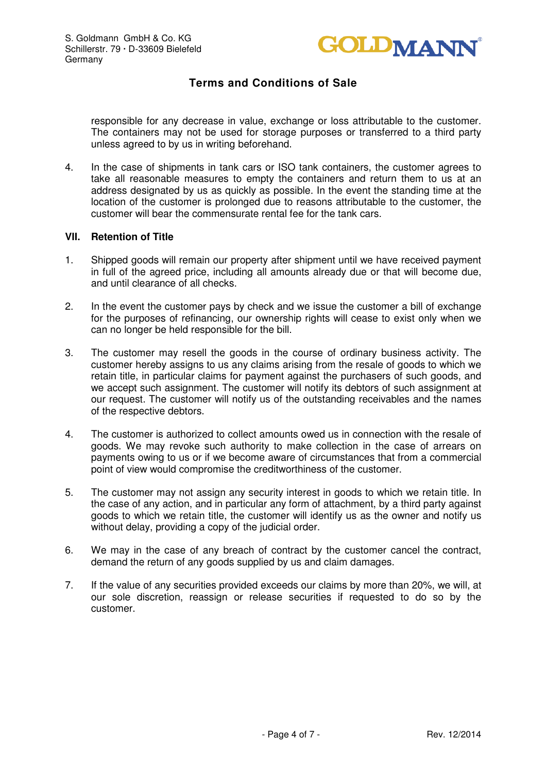

responsible for any decrease in value, exchange or loss attributable to the customer. The containers may not be used for storage purposes or transferred to a third party unless agreed to by us in writing beforehand.

4. In the case of shipments in tank cars or ISO tank containers, the customer agrees to take all reasonable measures to empty the containers and return them to us at an address designated by us as quickly as possible. In the event the standing time at the location of the customer is prolonged due to reasons attributable to the customer, the customer will bear the commensurate rental fee for the tank cars.

### **VII. Retention of Title**

- 1. Shipped goods will remain our property after shipment until we have received payment in full of the agreed price, including all amounts already due or that will become due, and until clearance of all checks.
- 2. In the event the customer pays by check and we issue the customer a bill of exchange for the purposes of refinancing, our ownership rights will cease to exist only when we can no longer be held responsible for the bill.
- 3. The customer may resell the goods in the course of ordinary business activity. The customer hereby assigns to us any claims arising from the resale of goods to which we retain title, in particular claims for payment against the purchasers of such goods, and we accept such assignment. The customer will notify its debtors of such assignment at our request. The customer will notify us of the outstanding receivables and the names of the respective debtors.
- 4. The customer is authorized to collect amounts owed us in connection with the resale of goods. We may revoke such authority to make collection in the case of arrears on payments owing to us or if we become aware of circumstances that from a commercial point of view would compromise the creditworthiness of the customer.
- 5. The customer may not assign any security interest in goods to which we retain title. In the case of any action, and in particular any form of attachment, by a third party against goods to which we retain title, the customer will identify us as the owner and notify us without delay, providing a copy of the judicial order.
- 6. We may in the case of any breach of contract by the customer cancel the contract, demand the return of any goods supplied by us and claim damages.
- 7. If the value of any securities provided exceeds our claims by more than 20%, we will, at our sole discretion, reassign or release securities if requested to do so by the customer.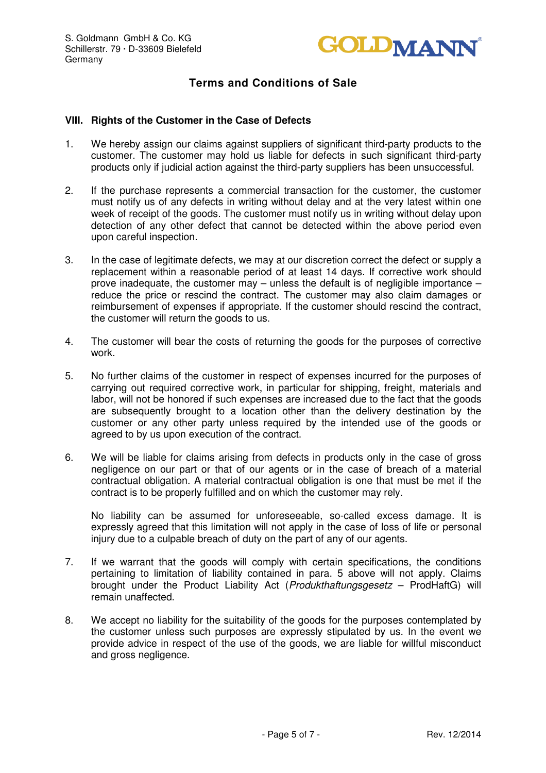

#### **VIII. Rights of the Customer in the Case of Defects**

- 1. We hereby assign our claims against suppliers of significant third-party products to the customer. The customer may hold us liable for defects in such significant third-party products only if judicial action against the third-party suppliers has been unsuccessful.
- 2. If the purchase represents a commercial transaction for the customer, the customer must notify us of any defects in writing without delay and at the very latest within one week of receipt of the goods. The customer must notify us in writing without delay upon detection of any other defect that cannot be detected within the above period even upon careful inspection.
- 3. In the case of legitimate defects, we may at our discretion correct the defect or supply a replacement within a reasonable period of at least 14 days. If corrective work should prove inadequate, the customer may – unless the default is of negligible importance – reduce the price or rescind the contract. The customer may also claim damages or reimbursement of expenses if appropriate. If the customer should rescind the contract, the customer will return the goods to us.
- 4. The customer will bear the costs of returning the goods for the purposes of corrective work.
- 5. No further claims of the customer in respect of expenses incurred for the purposes of carrying out required corrective work, in particular for shipping, freight, materials and labor, will not be honored if such expenses are increased due to the fact that the goods are subsequently brought to a location other than the delivery destination by the customer or any other party unless required by the intended use of the goods or agreed to by us upon execution of the contract.
- 6. We will be liable for claims arising from defects in products only in the case of gross negligence on our part or that of our agents or in the case of breach of a material contractual obligation. A material contractual obligation is one that must be met if the contract is to be properly fulfilled and on which the customer may rely.

No liability can be assumed for unforeseeable, so-called excess damage. It is expressly agreed that this limitation will not apply in the case of loss of life or personal injury due to a culpable breach of duty on the part of any of our agents.

- 7. If we warrant that the goods will comply with certain specifications, the conditions pertaining to limitation of liability contained in para. 5 above will not apply. Claims brought under the Product Liability Act (Produkthaftungsgesetz – ProdHaftG) will remain unaffected.
- 8. We accept no liability for the suitability of the goods for the purposes contemplated by the customer unless such purposes are expressly stipulated by us. In the event we provide advice in respect of the use of the goods, we are liable for willful misconduct and gross negligence.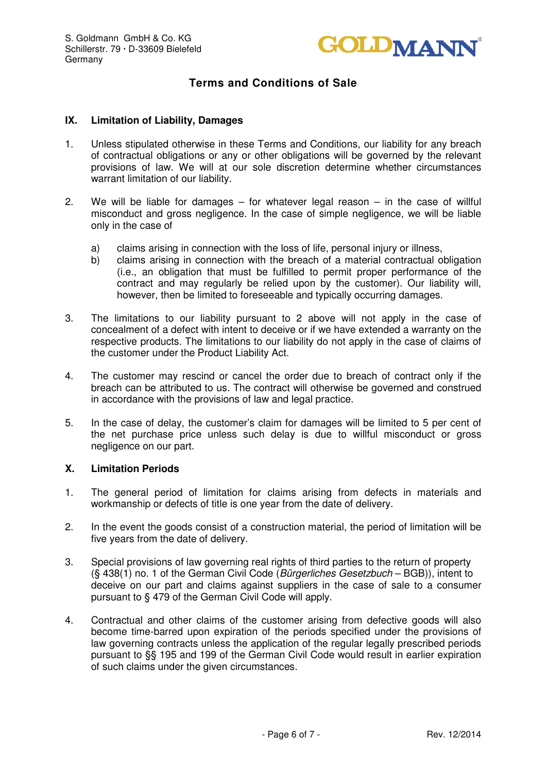

### **IX. Limitation of Liability, Damages**

- 1. Unless stipulated otherwise in these Terms and Conditions, our liability for any breach of contractual obligations or any or other obligations will be governed by the relevant provisions of law. We will at our sole discretion determine whether circumstances warrant limitation of our liability.
- 2. We will be liable for damages for whatever legal reason in the case of willful misconduct and gross negligence. In the case of simple negligence, we will be liable only in the case of
	- a) claims arising in connection with the loss of life, personal injury or illness,
	- b) claims arising in connection with the breach of a material contractual obligation (i.e., an obligation that must be fulfilled to permit proper performance of the contract and may regularly be relied upon by the customer). Our liability will, however, then be limited to foreseeable and typically occurring damages.
- 3. The limitations to our liability pursuant to 2 above will not apply in the case of concealment of a defect with intent to deceive or if we have extended a warranty on the respective products. The limitations to our liability do not apply in the case of claims of the customer under the Product Liability Act.
- 4. The customer may rescind or cancel the order due to breach of contract only if the breach can be attributed to us. The contract will otherwise be governed and construed in accordance with the provisions of law and legal practice.
- 5. In the case of delay, the customer's claim for damages will be limited to 5 per cent of the net purchase price unless such delay is due to willful misconduct or gross negligence on our part.

#### **X. Limitation Periods**

- 1. The general period of limitation for claims arising from defects in materials and workmanship or defects of title is one year from the date of delivery.
- 2. In the event the goods consist of a construction material, the period of limitation will be five years from the date of delivery.
- 3. Special provisions of law governing real rights of third parties to the return of property (§ 438(1) no. 1 of the German Civil Code (Bürgerliches Gesetzbuch – BGB)), intent to deceive on our part and claims against suppliers in the case of sale to a consumer pursuant to § 479 of the German Civil Code will apply.
- 4. Contractual and other claims of the customer arising from defective goods will also become time-barred upon expiration of the periods specified under the provisions of law governing contracts unless the application of the regular legally prescribed periods pursuant to §§ 195 and 199 of the German Civil Code would result in earlier expiration of such claims under the given circumstances.